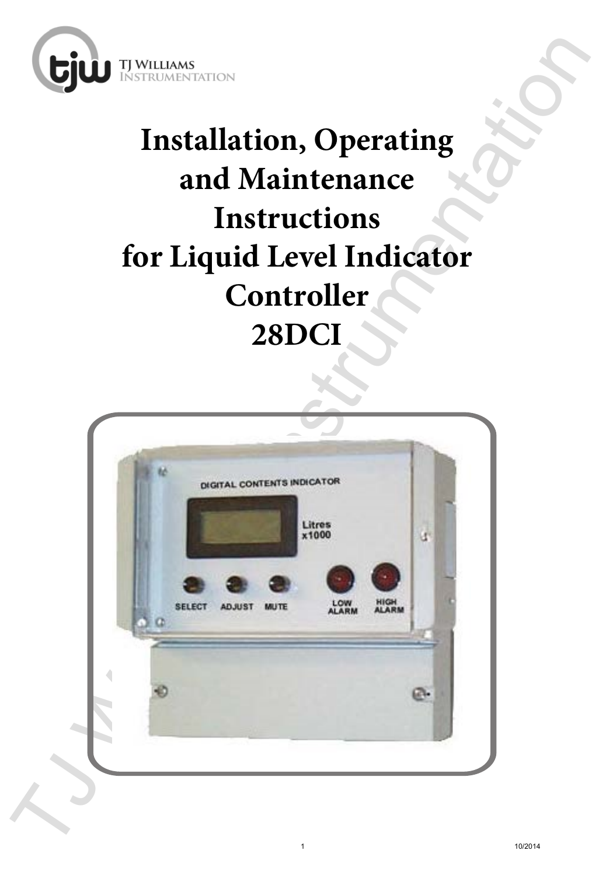

# **Installation, Operating and Maintenance Instructions for Liquid Level Indicator Controller 28DCI**

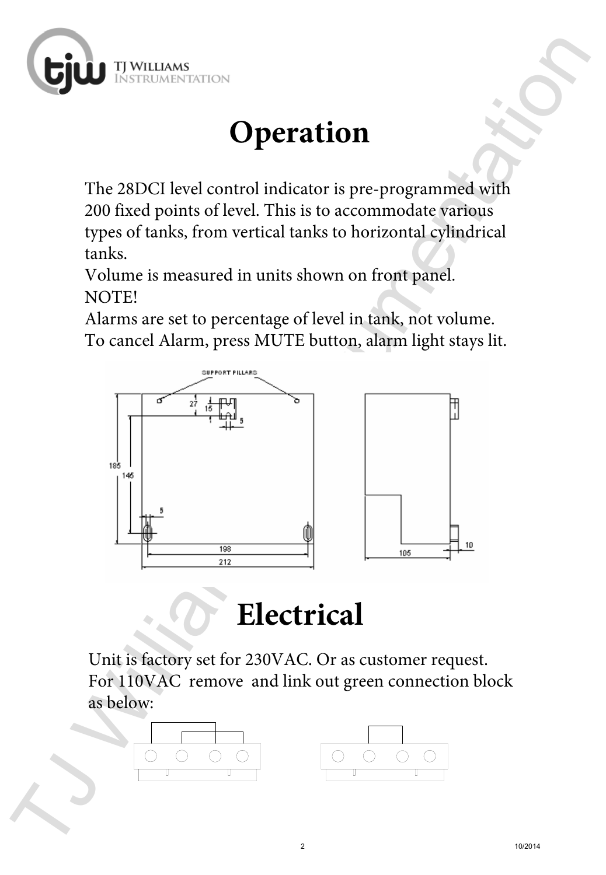

## **Operation**

The 28DCI level control indicator is pre-programmed with 200 fixed points of level. This is to accommodate various types of tanks, from vertical tanks to horizontal cylindrical tanks.

Volume is measured in units shown on front panel. NOTE!

Alarms are set to percentage of level in tank, not volume. To cancel Alarm, press MUTE button, alarm light stays lit.



#### **Electrical**

Unit is factory set for 230VAC. Or as customer request. For 110VAC remove and link out green connection block as below:



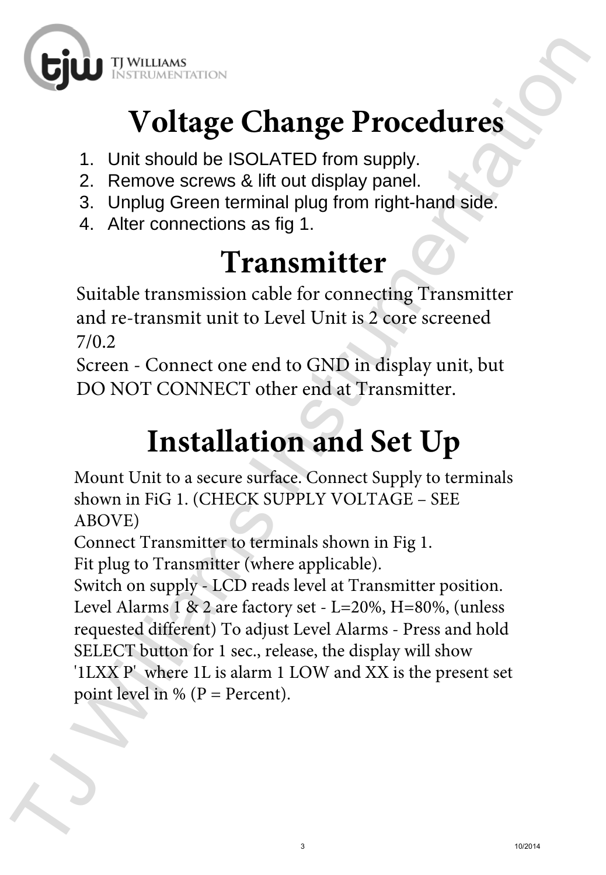

# **Voltage Change Procedures**

- 1. Unit should be ISOLATED from supply.
- 2. Remove screws & lift out display panel.
- 3. Unplug Green terminal plug from right-hand side.
- 4. Alter connections as fig 1.

#### **Transmitter**

Suitable transmission cable for connecting Transmitter and re-transmit unit to Level Unit is 2 core screened 7/0.2

Screen - Connect one end to GND in display unit, but DO NOT CONNECT other end at Transmitter.

## **Installation and Set Up**

Mount Unit to a secure surface. Connect Supply to terminals shown in FiG 1. (CHECK SUPPLY VOLTAGE – SEE ABOVE)

Connect Transmitter to terminals shown in Fig 1.

Fit plug to Transmitter (where applicable).

**CJUD** Environmentation<br>
1. Unit should be ISOLATED from supply<br>
2. Remove screws & iff out display panel.<br>
3. Unplug Green terminal plug from right-hand side.<br>
4. Alter connections as fig 1.<br> **Transmitter**<br>
5. Unplug Gre Switch on supply - LCD reads level at Transmitter position. Level Alarms 1 & 2 are factory set - L=20%, H=80%, (unless requested different) To adjust Level Alarms - Press and hold SELECT button for 1 sec., release, the display will show '1LXX P' where 1L is alarm 1 LOW and XX is the present set point level in % ( $P = Percent$ ).